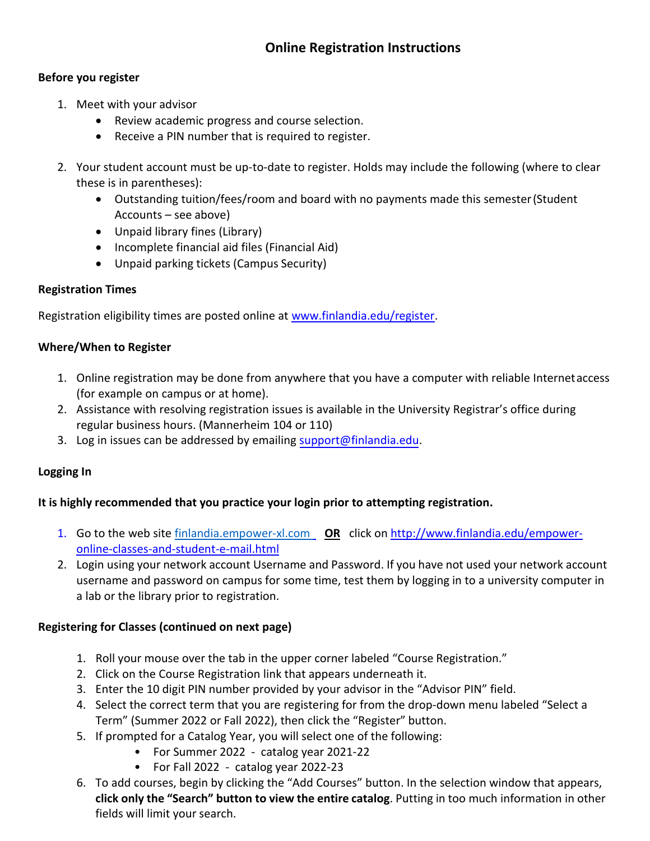### **Before you register**

- 1. Meet with your advisor
	- Review academic progress and course selection.
	- Receive a PIN number that is required to register.
- 2. Your student account must be up-to-date to register. Holds may include the following (where to clear these is in parentheses):
	- Outstanding tuition/fees/room and board with no payments made this semester(Student Accounts – see above)
	- Unpaid library fines (Library)
	- Incomplete financial aid files (Financial Aid)
	- Unpaid parking tickets (Campus Security)

# **Registration Times**

Registration eligibility times are posted online at [www.finlandia.edu/register.](http://www.finlandia.edu/register)

# **Where/When to Register**

- 1. Online registration may be done from anywhere that you have a computer with reliable Internet access (for example on campus or at home).
- 2. Assistance with resolving registration issues is available in the University Registrar's office during regular business hours. (Mannerheim 104 or 110)
- 3. Log in issues can be addressed by emailing [support@finlandia.edu.](mailto:support@finlandia.edu)

# **Logging In**

# **It is highly recommended that you practice your login prior to attempting registration.**

- 1. Go to the web site [finlandia.empower-xl.com](file://///ad1.ad.finlandia.edu/shares/data/Registrar/Registration/2018-2019/finlandia.empower-xl.com%20) **OR** click on [http://www.finlandia.edu/empower](http://www.finlandia.edu/empower-online-classes-and-student-e-mail.html)[online-classes-and-student-e-mail.html](http://www.finlandia.edu/empower-online-classes-and-student-e-mail.html)
- 2. Login using your network account Username and Password. If you have not used your network account username and password on campus for some time, test them by logging in to a university computer in a lab or the library prior to registration.

# **Registering for Classes (continued on next page)**

- 1. Roll your mouse over the tab in the upper corner labeled "Course Registration."
- 2. Click on the Course Registration link that appears underneath it.
- 3. Enter the 10 digit PIN number provided by your advisor in the "Advisor PIN" field.
- 4. Select the correct term that you are registering for from the drop-down menu labeled "Select a Term" (Summer 2022 or Fall 2022), then click the "Register" button.
- 5. If prompted for a Catalog Year, you will select one of the following:
	- For Summer 2022 catalog year 2021-22
	- For Fall 2022 catalog year 2022-23
- 6. To add courses, begin by clicking the "Add Courses" button. In the selection window that appears, **click only the "Search" button to view the entire catalog**. Putting in too much information in other fields will limit your search.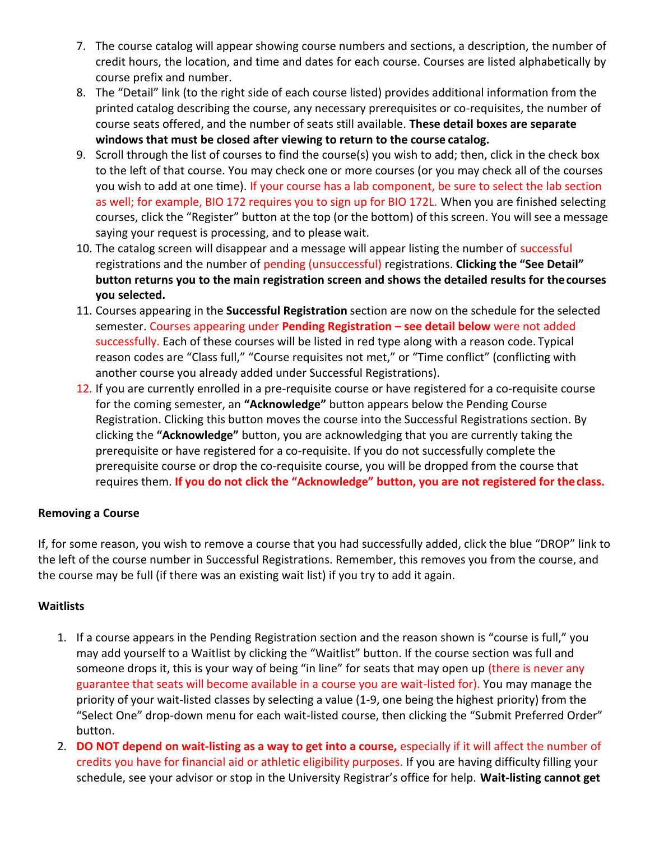- 7. The course catalog will appear showing course numbers and sections, a description, the number of credit hours, the location, and time and dates for each course. Courses are listed alphabetically by course prefix and number.
- 8. The "Detail" link (to the right side of each course listed) provides additional information from the printed catalog describing the course, any necessary prerequisites or co-requisites, the number of course seats offered, and the number of seats still available. **These detail boxes are separate windows that must be closed after viewing to return to the course catalog.**
- 9. Scroll through the list of courses to find the course(s) you wish to add; then, click in the check box to the left of that course. You may check one or more courses (or you may check all of the courses you wish to add at one time). If your course has a lab component, be sure to select the lab section as well; for example, BIO 172 requires you to sign up for BIO 172L. When you are finished selecting courses, click the "Register" button at the top (or the bottom) of this screen. You will see a message saying your request is processing, and to please wait.
- 10. The catalog screen will disappear and a message will appear listing the number of successful registrations and the number of pending (unsuccessful) registrations. **Clicking the "See Detail" button returns you to the main registration screen and shows the detailed results for thecourses you selected.**
- 11. Courses appearing in the **Successful Registration** section are now on the schedule for the selected semester. Courses appearing under **Pending Registration – see detail below** were not added successfully. Each of these courses will be listed in red type along with a reason code. Typical reason codes are "Class full," "Course requisites not met," or "Time conflict" (conflicting with another course you already added under Successful Registrations).
- 12. If you are currently enrolled in a pre-requisite course or have registered for a co-requisite course for the coming semester, an **"Acknowledge"** button appears below the Pending Course Registration. Clicking this button moves the course into the Successful Registrations section. By clicking the **"Acknowledge"** button, you are acknowledging that you are currently taking the prerequisite or have registered for a co-requisite. If you do not successfully complete the prerequisite course or drop the co-requisite course, you will be dropped from the course that requires them. **If you do not click the "Acknowledge" button, you are not registered for theclass.**

# **Removing a Course**

If, for some reason, you wish to remove a course that you had successfully added, click the blue "DROP" link to the left of the course number in Successful Registrations. Remember, this removes you from the course, and the course may be full (if there was an existing wait list) if you try to add it again.

# **Waitlists**

- 1. If a course appears in the Pending Registration section and the reason shown is "course is full," you may add yourself to a Waitlist by clicking the "Waitlist" button. If the course section was full and someone drops it, this is your way of being "in line" for seats that may open up (there is never any guarantee that seats will become available in a course you are wait-listed for). You may manage the priority of your wait-listed classes by selecting a value (1-9, one being the highest priority) from the "Select One" drop-down menu for each wait-listed course, then clicking the "Submit Preferred Order" button.
- 2. **DO NOT depend on wait-listing as a way to get into a course,** especially if it will affect the number of credits you have for financial aid or athletic eligibility purposes. If you are having difficulty filling your schedule, see your advisor or stop in the University Registrar's office for help. **Wait-listing cannot get**